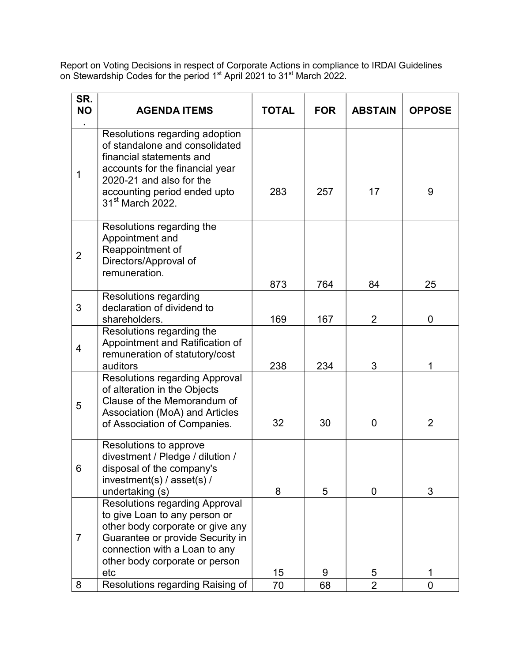Report on Voting Decisions in respect of Corporate Actions in compliance to IRDAI Guidelines on Stewardship Codes for the period 1<sup>st</sup> April 2021 to 31<sup>st</sup> March 2022.

| SR.<br><b>NO</b><br>٠ | <b>AGENDA ITEMS</b>                                                                                                                                                                                                         | <b>TOTAL</b> | <b>FOR</b> | <b>ABSTAIN</b> | <b>OPPOSE</b>  |
|-----------------------|-----------------------------------------------------------------------------------------------------------------------------------------------------------------------------------------------------------------------------|--------------|------------|----------------|----------------|
| $\mathbf 1$           | Resolutions regarding adoption<br>of standalone and consolidated<br>financial statements and<br>accounts for the financial year<br>2020-21 and also for the<br>accounting period ended upto<br>31 <sup>st</sup> March 2022. | 283          | 257        | 17             | 9              |
| $\overline{2}$        | Resolutions regarding the<br>Appointment and<br>Reappointment of<br>Directors/Approval of<br>remuneration.                                                                                                                  | 873          | 764        | 84             | 25             |
| 3                     | <b>Resolutions regarding</b><br>declaration of dividend to<br>shareholders.                                                                                                                                                 | 169          | 167        | $\overline{2}$ | 0              |
| $\overline{4}$        | Resolutions regarding the<br>Appointment and Ratification of<br>remuneration of statutory/cost<br>auditors                                                                                                                  | 238          | 234        | 3              | 1              |
| 5                     | <b>Resolutions regarding Approval</b><br>of alteration in the Objects<br>Clause of the Memorandum of<br>Association (MoA) and Articles<br>of Association of Companies.                                                      | 32           | 30         | $\mathbf 0$    | $\overline{2}$ |
| 6                     | Resolutions to approve<br>divestment / Pledge / dilution /<br>disposal of the company's<br>investment(s) / $assert(s)$ /<br>undertaking (s)                                                                                 | 8            | 5          | 0              | 3              |
| $\overline{7}$        | <b>Resolutions regarding Approval</b><br>to give Loan to any person or<br>other body corporate or give any<br>Guarantee or provide Security in<br>connection with a Loan to any<br>other body corporate or person<br>etc    | 15           | 9          | 5              | 1              |
| 8                     | Resolutions regarding Raising of                                                                                                                                                                                            | 70           | 68         | $\overline{2}$ | $\Omega$       |